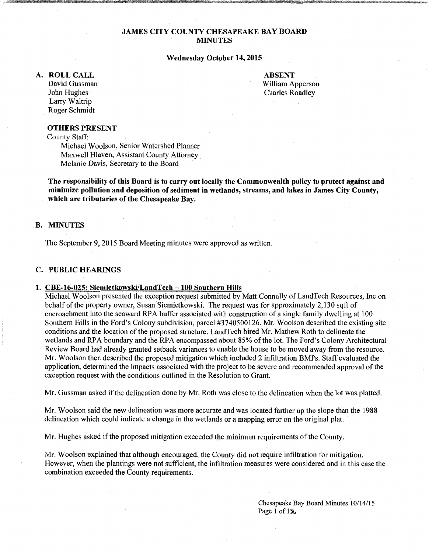### **JAMES CITY COUNTY CHESAPEAKE BAY BOARD MINUTES**

#### **Wednesday October 14,2015**

#### **A. ROLLCALL**

David Gussman John Hughes Larry Waltrip Roger Schmidt

**ABSENT**  William Apperson Charles Roadley

### **OTHERS PRESENT**

County Staff:

Michael Woolson, Senior Watershed Planner Maxwell Hlaven, Assistant County Attorney Melanie Davis, Secretary to the Board

**The responsibility of this Board is to carry out locally the Commonwealth policy to protect against and minimize pollution and deposition of sediment in wetlands, streams, and lakes in James City County, which are tributaries of the Chesapeake Bay.** 

#### **B. MINUTES**

The September 9, 2015 Board Meeting minutes were approved as written.

### **C. PUBLIC HEARINGS**

#### **1. CBE-16-025: Siemietkowski!LandTech -100 Southern Hills**

Michael Woolson presented the exception request submitted by Matt Connolly of LandTech Resources, Inc on behalf of the property owner, Susan Siemietkowski. The request was for approximately 2,130 sqft of encroachment into the seaward RPA buffer associated with construction of a single family dwelling at 100 Southern Hills in the Ford's Colony subdivision, parcel #3740500126. Mr. Woolson described the existing site conditions and the location of the proposed structure. LandTech hired Mr. Mathew Roth to delineate the wetlands and RPA boundary and the RPA encompassed about 85% ofthe lot. The Ford's Colony Architectural Review Board had already granted setback variances to enable the house to be moved away from the resource. Mr. Woolson then described the proposed mitigation which included 2 infiltration BMPs. Staff evaluated the application, determined the impacts associated with the project to be severe and recommended approval of the exception request with the conditions outlined in the Resolution to Grant.

Mr. Gussman asked if the delineation done by Mr. Roth was close to the delineation when the lot was platted.

Mr. Woolson said the new delineation was more accurate and was located farther up the slope than the 1988 delineation which could indicate a change in the wetlands or a mapping error on the original plat.

Mr. Hughes asked if the proposed mitigation exceeded the minimum requirements of the County.

Mr. Woolson explained that although encouraged, the County did not require infiltration for mitigation. However, when the plantings were not sufficient, the infiltration measures were considered and in this case the combination exceeded the County requirements.

> Chesapeake Bay Board Minutes 10/14/15 Page 1 of  $1.3$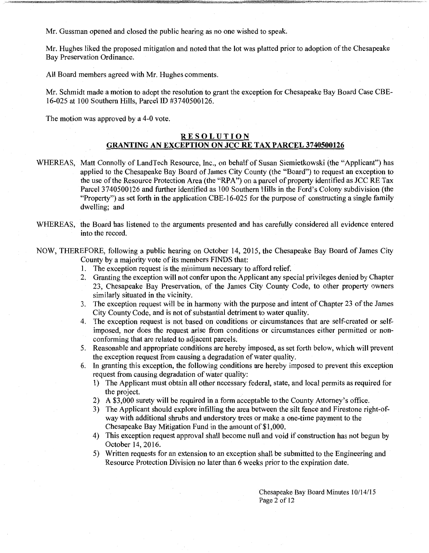Mr. Gussman opened and closed the public hearing as no one wished to speak.

Mr. Hughes liked the proposed mitigation and noted that the lot was platted prior to adoption of the Chesapeake Bay Preservation Ordinance.

All Board members agreed with Mr. Hughes comments.

Mr. Schmidt made a motion to adopt the resolution to grant the exception for Chesapeake Bay Board Case CBE-16-025 at 100 Southern Hills, Parcel ID #3740500126.

The motion was approved by a 4-0 vote.

### **RESOLUTION GRANTING AN EXCEPTION ON JCC RE TAX PARCEL 3740500126**

- WHEREAS, Matt Connolly of LandTech Resource, Inc., on behalf of Susan Siemietkowski (the "Applicant") has applied to the Chesapeake Bay Board of James City County (the "Board") to request an exception to the use ofthe Resource Protection Area (the "RPA") on a parcel of property identified as JCC RE Tax Parcel 3740500126 and further identified as 100 Southern Hills in the Ford's Colony subdivision (the "Property") as set forth in the application CBE-16-025 for the purpose of constructing a single family dwelling; and
- WHEREAS, the Board has listened to the arguments presented and has carefully considered all evidence entered into the record.

NOW, THEREFORE, following a public hearing on October 14, 2015, the Chesapeake Bay Board of James City County by a majority vote of its members FINDS that:

- 1. The exception request is the minimum necessary to afford relief.
- 2. Granting the exception will not confer upon the Applicant any special privileges denied by Chapter 23, Chesapeake Bay Preservation, of the James City County Code, to other property owners similarly situated in the vicinity.
- 3. The exception request will be in harmony with the purpose and intent of Chapter 23 of the James City County Code, and is not of substantial detriment to water quality.
- 4. The exception request is not based on conditions or circumstances that are self-created or selfimposed, nor does the request arise from conditions or circumstances either permitted or nonconforming that are related to adjacent parcels.
- 5. Reasonable and appropriate conditions are hereby imposed, as set forth below, which will prevent the exception request from causing a degradation of water quality.
- 6. In granting this exception, the following conditions are hereby imposed to prevent this exception request from causing degradation of water quality:
	- 1) The Applicant must obtain all other necessary federal, state, and local permits as required for the project.
	- 2) A \$3,000 surety will be required in a form acceptable to the County Attorney's office.
	- 3) The Applicant should explore infilling the area between the silt fence and Firestone right-ofway with additional shrubs and understory trees or make a one-time payment to the Chesapeake Bay Mitigation Fund in the amount of \$1,000.
	- 4) This exception request approval shall become null and void if construction has not begun by October 14, 2016.
	- 5) Written requests for an extension to an exception shall be submitted to the Engineering and Resource Protection Division no later than 6 weeks prior to the expiration date.

Chesapeake Bay Board Minutes I 0/14/15 Page 2 of 12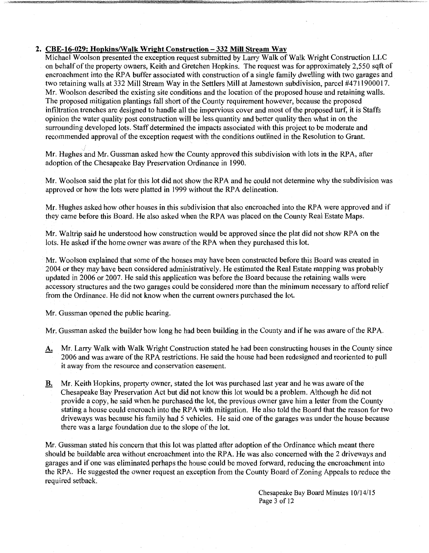### **2. CBE-16-029: Hopkins/Walk Wright Construction- 332 Mill Stream Way**

Michael Woolson presented the exception request submitted by Larry Walk of Walk Wright Construction LLC on behalf of the property owners, Keith and Gretchen Hopkins. The request was for approximately 2,550 sqft of encroachment into the RPA buffer associated with construction of a single family dwelling with two garages and two retaining walls at 332 Mill Stream Way in the Settlers Mill at Jamestown subdivision, parcel #4711900017. Mr. Woolson described the existing site conditions and the location of the proposed house and retaining walls. The proposed mitigation plantings fall short of the County requirement however, because the proposed infiltration trenches are designed to handle all the impervious cover and most of the proposed turf, it is Staffs opinion the water quality post construction will be less quantity and better quality then what in on the surrounding developed lots. Staff determined the impacts associated with this project to be moderate and recommended approval of the exception request with the conditions outlined in the Resolution to Grant.

Mr. Hughes and Mr. Gussman asked how the County approved this subdivision with lots in the RPA, after adoption of the Chesapeake Bay Preservation Ordinance in 1990.

Mr. Woolson said the plat for this lot did not show the RPA and he could not determine why the subdivision was approved or how the lots were platted in 1999 without the RPA delineation.

Mr. Hughes asked how other houses in this subdivision that also encroached into the RPA were approved and if they came before this Board. He also asked when the RPA was placed on the County Real Estate Maps.

Mr. Waltrip said he understood how construction would be approved since the plat did not show RPA on the lots. He asked if the home owner was aware of the RPA when they purchased this lot.

Mr. Woolson explained that some of the houses may have been constructed before this Board was created in 2004 or they may have been considered administratively. He estimated the Real Estate mapping was probably updated in 2006 or 2007. He said this application was before the Board because the retaining walls were accessory structures and the two garages could be considered more than the minimum necessary to afford relief from the Ordinance. He did not know when the current owners purchased the lot.

Mr. Gussman opened the public hearing.

Mr. Gussman asked the builder how long he had been building in the County and if he was aware of the RPA.

- A. Mr. Larry Walk with Walk Wright Construction stated he had been constructing houses in the County since 2006 and was aware of the RPA restrictions. He said the house had been redesigned and reoriented to pull it away from the resource and conservation easement.
- **B.** Mr. Keith Hopkins, property owner, stated the lot was purchased last year and he was aware of the Chesapeake Bay Preservation Act but did not know this lot would be a problem. Although he did not provide a copy, he said when he purchased the lot, the previous owner gave him a letter from the County stating a house could encroach into the RPA with mitigation. He also told the Board that the reason for two driveways was because his family had 5 vehicles. He said one of the garages was under the house because there was a large foundation due to the slope of the lot.

Mr. Gussman stated his concern that this lot was platted after adoption of the Ordinance which meant there should be buildable area without encroachment into the RPA. He was also concerned with the 2 driveways and garages and if one was eliminated perhaps the house could be moved forward, reducing the encroachment into the RPA. He suggested the owner request an exception from the County Board of Zoning Appeals to reduce the required setback.

> Chesapeake Bay Board Minutes 10/14115 Page 3 of 12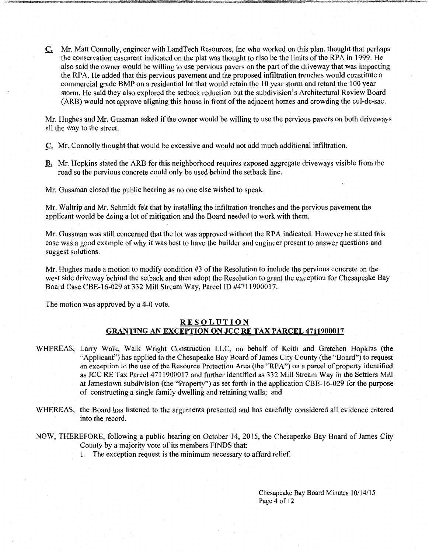C. Mr. Matt Connolly, engineer with LandTech Resources, Inc who worked on this plan, thought that perhaps the conservation easement indicated on the plat was thought to also be the limits of the RPA in 1999. He also said the owner would be willing to use pervious pavers on the part of the driveway that was impacting the RPA. He added that this pervious pavement and the proposed infiltration trenches would constitute a commercial grade BMP on a residential lot that would retain the 10 year storm and retard the 100 year storm. He said they also explored the setback reduction but the subdivision's Architectural Review Board (ARB) would not approve aligning this house in front of the adjacent homes and crowding the cul-de-sac.

Mr. Hughes and Mr. Gussman asked if the owner would be willing to use the pervious pavers on both driveways all the way to the street.

C. Mr. Connolly thought that would be excessive and would not add much additional infiltration.

**B.** Mr. Hopkins stated the ARB for this neighborhood requires exposed aggregate driveways visible from the road so the pervious concrete could only be used behind the setback line.

Mr. Gussman closed the public hearing as no one else wished to speak.

Mr. Waltrip and Mr. Schmidt felt that by installing the infiltration trenches and the pervious pavement the applicant would be doing a lot of mitigation and the Board needed to work with them.

Mr. Gussman was still concerned that the lot was approved without the RPA indicated. However he stated this case was a good example of why it was best to have the builder and engineer present to answer questions and suggest solutions.

Mr. Hughes made a motion to modify condition #3 of the Resolution to include the pervious concrete on the west side driveway behind the setback and then adopt the Resolution to grant the exception for Chesapeake Bay Board Case CBE-16-029 at 332 Mill Stream Way, Parcel ID #4711900017.

The motion was approved by a 4-0 vote.

### **RESOLUTION GRANTING AN EXCEPTION ON JCC RE TAX PARCEL 4711900017**

- WHEREAS, Larry Walk, Walk Wright Construction LLC, on behalf of Keith and Gretchen Hopkins (the "Applicant") has applied to the Chesapeake Bay Board of James City County (the "Board") to request an exception to the use of the Resource Protection Area (the "RPA") on a parcel of property identified as JCC RE Tax Parcel4711900017 and further identified as 332 Mill Stream Way in the Settlers Mill at Jamestown subdivision (the "Property") as set forth in the application CBE-16-029 for the purpose of constructing a single family dwelling and retaining walls; and
- WHEREAS, the Board has listened to the arguments presented and has carefully considered all evidence entered into the record.
- NOW, THEREFORE, following a public hearing on October 14, 2015, the Chesapeake Bay Board of James City County by a majority vote of its members FINDS that:
	- 1. The exception request is the minimum necessary to afford relief.

Chesapeake Bay Board Minutes 10/14/15 Page 4 of 12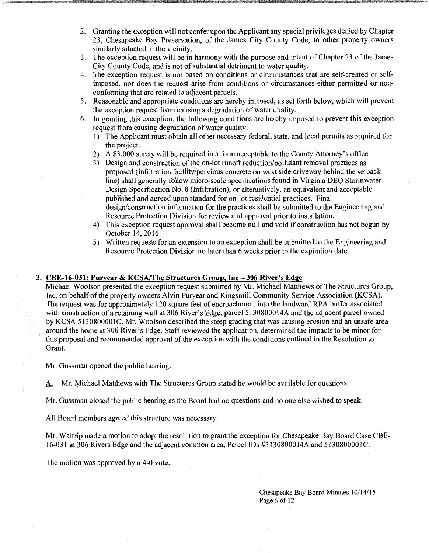- 2. Granting the exception will not confer upon the Applicant any special privileges denied by Chapter 23, Chesapeake Bay Preservation, of the James City County Code, to other property owners similarly situated in the vicinity.
- 3. The exception request will be in harmony with the purpose and intent of Chapter 23 of the James City County Code, and is not of substantial detriment to water quality.
- 4. The exception request is not based on conditions or circumstances that are self-created or selfimposed, nor does the request arise from conditions or circumstances either permitted or nonconforming that are related to adjacent parcels.
- 5. Reasonable and appropriate conditions are hereby imposed, as set forth below, which will prevent the exception request from causing a degradation of water quality.
- 6. In granting this exception, the following conditions are hereby imposed to prevent this exception request from causing degradation of water quality:
	- 1) The Applicant must obtain all other necessary federal, state, and local permits as required for the project.
	- 2) A \$3,000 surety will be required in a form acceptable to the County Attorney's office.
	- 3) Design and construction of the on-lot runoff reduction/pollutant removal practices as proposed (infiltration facility/pervious concrete on west side driveway behind the setback line) shall generally follow micro-scale specifications found in Virginia DEQ Storm water Design Specification No. 8 (Infiltration); or alternatively, an equivalent and acceptable published and agreed upon standard for on-lot residential practices. Final design/construction information for the practices shall be submitted to the Engineering and Resource Protection Division for review and approval prior to installation.
	- 4) This exception request approval shall become null and void if construction has not begun by October 14, 2016.
	- 5) Written requests for an extension to an exception shall be submitted to the Engineering and Resource Protection Division no later than 6 weeks prior to the expiration date.

### 3. CBE-16-031: Puryear & KCSA/The Structures Group, Inc- 306 River's Edge

Michael Woolson presented the exception request submitted by Mr. Michael Matthews of The Structures Group, Inc. on behalf of the property owners Alvin Puryear and Kingsmill Community Service Association (KCSA). The request was for approximately 120 square feet of encroachment into the landward RPA buffer associated with construction of a retaining wall at 306 River's Edge, parcel 5130800014A and the adjacent parcel owned by KCSA 5130800001C. Mr. Woolson described the steep grading that was causing erosion and an unsafe area around the home at 306 River's Edge. Staff reviewed the application, determined the impacts to be minor for this proposal and recommended approval of the exception with the conditions outlined in the Resolution to Grant.

Mr. Gussman opened the public hearing.

A. Mr. Michael Matthews with The Structures Group stated he would be available for questions.

Mr. Gussman closed the public hearing as the Board had no questions and no one else wished to speak.

All Board members agreed this structure was necessary.

Mr. Waltrip made a motion to adopt the resolution to grant the exception for Chesapeake Bay Board Case CBE-16-031 at 306 Rivers Edge and the adjacent common area, Parcel IDs #5130800014A and 5130800001C.

The motion was approved by a 4-0 vote.

Chesapeake Bay Board Minutes 10/14/15 Page 5 of 12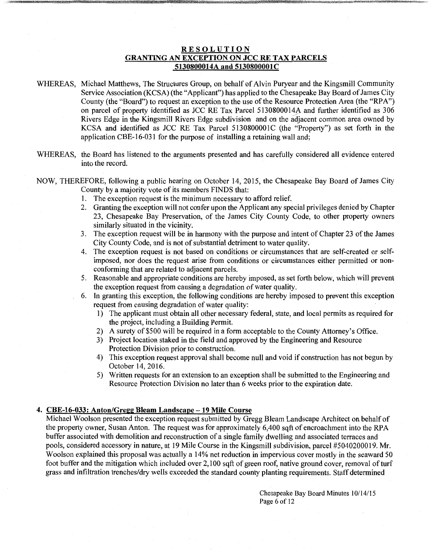### **RESOLUTION GRANTING AN EXCEPTION ON JCC RE TAX PARCELS 5130800014A and 5130800001C**

- WHEREAS, Michael Matthews, The Structures Group, on behalf of Alvin Puryear and the Kingsmill Community Service Association (KCSA) (the "Applicant") has applied to the Chesapeake Bay Board of James City County (the "Board") to request an exception to the use of the Resource Protection Area (the "RPA") on parcel of property identified as JCC RE Tax Parcel 5130800014A and further identified as 306 Rivers Edge in the Kingsmill Rivers Edge subdivision and on the adjacent common area owned by KCSA and identified as JCC RE Tax Parcel 5130800001C (the "Property") as set forth in the application CBE-16-031 for the purpose of installing a retaining wall and;
- WHEREAS, the Board has listened to the arguments presented and has carefully considered all evidence entered into the record.
- NOW, THEREFORE, following a public hearing on October 14, 2015, the Chesapeake Bay Board of James City County by a majority vote of its members FINDS that:
	- 1. The exception request is the minimum necessary to afford relief.
	- 2. Granting the exception will not confer upon the Applicant any special privileges denied by Chapter 23, Chesapeake Bay Preservation, of the James City County Code, to other property owners similarly situated in the vicinity.
	- 3. The exception request will be in harmony with the purpose and intent of Chapter 23 of the James City County Code, and is not of substantial detriment to water quality.
	- 4. The exception request is not based on conditions or circumstances that are self-created or selfimposed, nor does the request arise from conditions or circumstances either permitted or nonconforming that are related to adjacent parcels.
	- 5. Reasonable and appropriate conditions are hereby imposed, as set forth below, which will prevent the exception request from causing a degradation of water quality.
	- 6. In granting this exception, the following conditions are hereby imposed to prevent this exception request from causing degradation of water quality:
		- 1) The applicant must obtain all other necessary federal, state, and local permits as required for the project, including a Building Permit.
		- 2) A surety of \$500 will be required in a form acceptable to the County Attorney's Office.
		- 3) Project location staked in the field and approved by the Engineering and Resource Protection Division prior to construction.
		- 4) This exception request approval shall become null and void if construction has not begun by October 14, 2016.
		- 5) Written requests for an extension to an exception shall be submitted to the Engineering and Resource Protection Division no later than 6 weeks prior to the expiration date.

### **4. CBE-16-033: Anton/Gregg Bleam Landscape -19 Mile Course**

Michael Woolson presented the exception request submitted by Gregg Bleam Landscape Architect on behalf of the property owner, Susan Anton. The request was for approximately 6,400 sqft of encroachment into the RPA buffer associated with demolition and reconstruction of a single family dwelling and associated terraces and pools, considered accessory in nature, at 19 Mile Course in the Kingsmill subdivision, parcel #5040200019. Mr. Woolson explained this proposal was actually a 14% net reduction in impervious cover mostly in the seaward 50 foot buffer and the mitigation which included over 2,100 sqft of green roof, native ground cover, removal of turf grass and infiltration trenches/dry wells exceeded the standard county planting requirements. Staff determined

> Chesapeake Bay Board Minutes 10/14/15 Page 6 of 12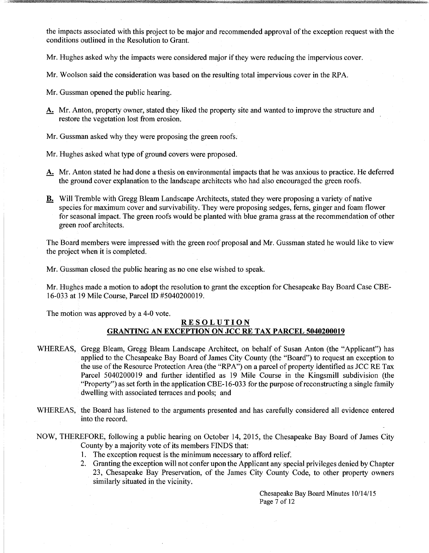the impacts associated with this project to be major and recommended approval of the exception request with the conditions outlined in the Resolution to Grant.

Mr. Hughes asked why the impacts were considered major if they were reducing the impervious cover.

Mr. Woolson said the consideration was based on the resulting total impervious cover in the RPA.

Mr. Gussman opened the public hearing.

A. Mr. Anton, property owner, stated they liked the property site and wanted to improve the structure and restore the vegetation lost from erosion.

Mr. Gussman asked why they were proposing the green roofs.

Mr. Hughes asked what type of ground covers were proposed.

- A. Mr. Anton stated he had done a thesis on environmental impacts that he was anxious to practice. He deferred the ground cover explanation to the landscape architects who had also encouraged the green roofs.
- **B.** Will Tremble with Gregg Bleam Landscape Architects, stated they were proposing a variety of native species for maximum cover and survivability. They were proposing sedges, ferns, ginger and foam flower for seasonal impact. The green roofs would be planted with blue grama grass at the recommendation of other green roof architects.

The Board members were impressed with the green roof proposal and Mr. Gussman stated he would like to view the project when it is completed.

Mr. Gussman closed the public hearing as no one else wished to speak.

Mr. Hughes made a motion to adopt the resolution to grant the exception for Chesapeake Bay Board Case CBE-16-033 at 19 Mile Course, Parcel ID #5040200019.

The motion was approved by a 4-0 vote.

# **RESOLUTION GRANTING AN EXCEPTION ON JCC RE TAX PARCEL 5040200019**

- WHEREAS, Gregg Bleam, Gregg Bleam Landscape Architect, on behalf of Susan Anton (the "Applicant") has applied to the Chesapeake Bay Board of James City County (the "Board") to request an exception to the use of the Resource Protection Area (the "RPA") on a parcel of property identified as JCC RE Tax Parcel 5040200019 and further identified as 19 Mile Course in the Kingsmill subdivision (the "Property") as set forth in the application CBE-16-03 3 for the purpose of reconstructing a single family dwelling with associated terraces and pools; and
- WHEREAS, the Board has listened to the arguments presented and has carefully considered all evidence entered into the record.
- NOW, THEREFORE, following a public hearing on October 14, 2015, the Chesapeake Bay Board of James City County by a majority vote of its members FINDS that:
	- 1. The exception request is the minimum necessary to afford relief.
	- 2. Granting the exception will not confer upon the Applicant any special privileges denied by Chapter 23, Chesapeake Bay Preservation, of the James City County Code, to other property owners similarly situated in the vicinity.

Chesapeake Bay Board Minutes 10/14/15 Page 7 of 12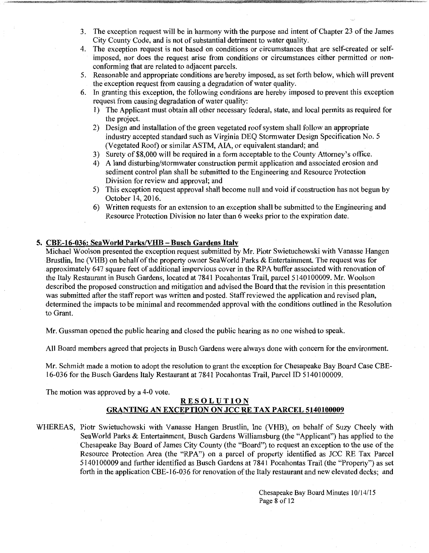- 3. The exception request will be in harmony with the purpose and intent of Chapter 23 of the James City County Code, and is not of substantial detriment to water quality.
- 4. The exception request is not based on conditions or circumstances that are self-created or selfimposed, nor does the request arise from conditions or circumstances either permitted or nonconforming that are related to adjacent parcels.
- 5. Reasonable and appropriate conditions are hereby imposed, as set forth below, which will prevent the exception request from causing a degradation of water quality.
- 6. In granting this exception, the following conditions are hereby imposed to prevent this exception request from causing degradation of water quality:
	- I) The Applicant must obtain all other necessary federal, state, and local permits as required for the project.
	- 2) Design and installation of the green vegetated roof system shall follow an appropriate industry accepted standard such as Virginia DEQ Stormwater Design Specification No.5 (Vegetated Roof) or similar ASTM, AlA, or equivalent standard; and
	- 3) Surety of\$8,000 will be required in a form acceptable to the County Attorney's office.
	- 4) A land disturbing/stormwater construction permit application and associated erosion and sediment control plan shall be submitted to the Engineering and Resource Protection Division for review and approval; and
	- 5) This exception request approval shall become null and void if construction has not begun by October 14, 2016.
	- 6) Written requests for an extension to an exception shall be submitted to the Engineering and Resource Protection Division no later than 6 weeks prior to the expiration date.

### **5. CBE-16-036:** Sea **World ParksNHB- Busch Gardens Italy**

Michael Woolson presented the exception request submitted by Mr. Piotr Swietuchowski with Vanasse Hangen Brustlin, Inc (VHB) on behalf of the property owner SeaWorld Parks & Entertainment. The request was for approximately 647 square feet of additional impervious cover in the RPA buffer associated with renovation of the Italy Restaurant in Busch Gardens, located at 7841 Pocahontas Trail, parcel 5140100009. Mr. Woolson described the proposed construction and mitigation and advised the Board that the revision in this presentation was submitted after the staff report was written and posted. Staff reviewed the application and revised plan, determined the impacts to be minimal and recommended approval with the conditions outlined in the Resolution to Grant.

Mr. Gussman opened the public hearing and closed the public hearing as no one wished to speak.

All Board members agreed that projects in Busch Gardens were always done with concern for the environment.

Mr. Schmidt made a motion to adopt the resolution to grant the exception for Chesapeake Bay Board Case CBE-16-036 for the Busch Gardens Italy Restaurant at 7841 Pocahontas Trail, Parcel ID 5140100009.

The motion was approved by a 4-0 vote.

# **RESOLUTION GRANTING AN EXCEPTION ON JCC RE TAX PARCEL 5140100009**

WHEREAS, Piotr Swietuchowski with Vanasse Hangen Brustlin, Inc (VHB), on behalf of Suzy Cheely with Sea World Parks & Entertainment, Busch Gardens Williamsburg (the "Applicant") has applied to the Chesapeake Bay Board of James City County (the "Board") to request an exception to the use of the Resource Protection Area (the "RPA") on a parcel of property identified as JCC RE Tax Parcel 5140100009 and further identified as Busch Gardens at 7841 Pocahontas Trail (the "Property") as set forth in the application CBE-16-036 for renovation of the Italy restaurant and new elevated decks; and

> Chesapeake Bay Board Minutes 10/14/15 Page 8 of 12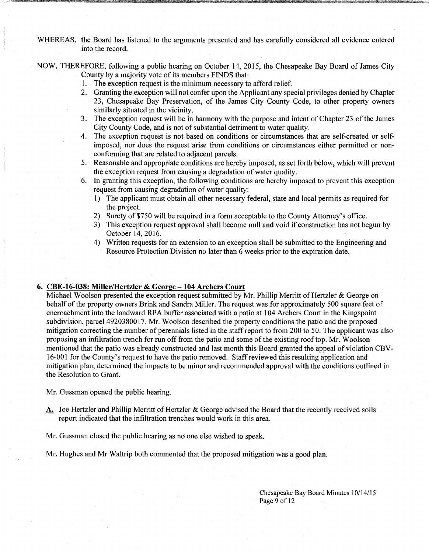WHEREAS, the Board has listened to the arguments presented and has carefully considered all evidence entered into the record.

NOW, THEREFORE, following a public hearing on October 14, 2015, the Chesapeake Bay Board of James City County by a majority vote of its members FINDS that:

- 1. The exception request is the minimum necessary to afford relief.
- 2. Granting the exception will not confer upon the Applicant any special privileges denied by Chapter 23, Chesapeake Bay Preservation, of the James City County Code, to other property owners similarly situated in the vicinity.
- 3. The exception request will be in harmony with the purpose and intent of Chapter 23 of the James City County Code, and is not of substantial detriment to water quality.
- 4. The exception request is not based on conditions or circumstances that are self-created or selfimposed, nor does the request arise from conditions or circumstances either permitted or nonconforming that are related to adjacent parcels.
- 5. Reasonable and appropriate conditions are hereby imposed, as set forth below, which will prevent the exception request from causing a degradation of water quality.
- 6. In granting this exception, the following conditions are hereby imposed to prevent this exception request from causing degradation of water quality:
	- 1) The applicant must obtain all other necessary federal, state and local permits as required for the project.
	- 2) Surety of\$750 will be required in a form acceptable to the County Attorney's office.
	- 3) This exception request approval shall become **null** and void if construction has not begun by October 14, 2016.
	- 4) Written requests for an extension to an exception shall be submitted to the Engineering and Resource Protection Division no later than 6 weeks prior to the expiration date.

#### **6. CBE-16-038: Miller/Hertzler & George -104 Archers Court**

Michael Woolson presented the exception request submitted by Mr. Phillip Merritt of Hertzler & George on behalf of the property owners Brink and Sandra Miller. The request was for approximately 500 square feet of encroachment into the landward RPA buffer associated with a patio at 104 Archers Court in the Kingspoint subdivision, parcel 4920380017. Mr. Woolson described the property conditions the patio and the proposed mitigation correcting the number of perennials listed in the staff report to from 200 to 50. The applicant was also proposing an infiltration trench for run off from the patio and some of the existing rooftop. Mr. Woolson mentioned that the patio was already constructed and last month this Board granted the appeal of violation CBV-16-001 for the County's request to have the patio removed. Staff reviewed this resulting application and mitigation plan, determined the impacts to be minor and recommended approval with the conditions outlined in the Resolution to Grant.

Mr. Gussman opened the public hearing.

A. Joe Hertzler and Phillip Merritt of Hertzler & George advised the Board that the recently received soils report indicated that the infiltration trenches would work in this area.

Mr. Gussman closed the public hearing as no one else wished to speak.

Mr. Hughes and Mr Waltrip both commented that the proposed mitigation was a good plan.

Chesapeake Bay Board Minutes 10/14115 Page 9 of 12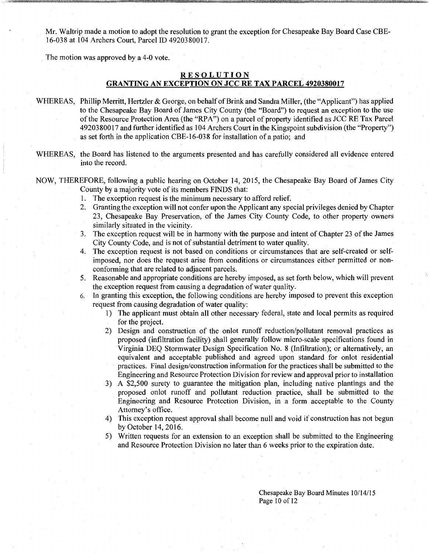Mr. Waltrip made a motion to adopt the resolution to grant the exception for Chesapeake Bay Board Case CBE-16-038 at 104 Archers Court, Parcel ID 4920380017.

The motion was approved by a 4-0 vote.

# **RE S'OL UTION GRANTING AN EXCEPTION ON JCC RE TAX PARCEL 4920380017**

- WHEREAS, Phillip Merritt, Hertzler & George, on behalf of Brink and Sandra Miller, (the "Applicant") has applied to the Chesapeake Bay Board of James City County (the "Board") to request an exception to the use of the Resource Protection Area (the "RPA") on a parcel of property identified as JCC RE Tax Parcel 4920380017 and further identified as 104 Archers Court in the Kingspoint subdivision (the "Property") as set forth in the application CBE-16-03 8 for installation of a patio; and
- WHEREAS, the Board has listened to the arguments presented and has carefully considered all evidence entered into the record.
- NOW, THEREFORE, following a public hearing on October 14, 2015, the Chesapeake Bay Board of James City County by a majority vote of its members FINDS that:
	- 1. The exception request is the minimum necessary to afford relief.
	- 2. Granting the exception will not confer upon the Applicant any special privileges denied by Chapter 23, Chesapeake Bay Preservation, of the James City County Code, to other property owners similarly situated in the vicinity.
	- 3. The exception request will be in harmony with the purpose and intent of Chapter 23 ofthe James City County Code, and is not of substantial detriment to water quality.
	- 4. The exception request is not based on conditions or circumstances that are self-created or selfimposed, nor does the request arise from conditions or circumstances either permitted or nonconforming that are related to adjacent parcels.
	- 5. Reasonable and appropriate conditions are hereby imposed, as set forth below, which will prevent the exception request from causing a degradation of water quality.
	- 6. In granting this exception, the following conditions are hereby imposed to prevent this exception request from causing degradation of water quality:
		- 1) The applicant must obtain all other necessary federal, state and local permits as required for the project.
		- 2) Design and construction of the onlot runoff reduction/pollutant removal practices as proposed (infiltration facility) shall generally follow micro-scale specifications found in Virginia DEQ Stormwater Design Specification No. 8 (Infiltration); or alternatively, an equivalent and acceptable published and agreed upon standard for onlot residential practices. Final design/construction information for the practices shall be submitted to the Engineering and Resource Protection Division for review and approval prior to installation
		- 3) A \$2,500 surety to guarantee the mitigation plan, including native plantings and the proposed onlot runoff and pollutant reduction practice, shall be submitted to the Engineering and Resource Protection Division, in a form acceptable to the County Attorney's office.
		- 4) This exception request approval shall become null and void if construction has not begun by October 14,2016.
		- 5) Written requests for an extension to an exception shall be submitted to the Engineering and Resource Protection Division no later than 6 weeks prior to the expiration date.

Chesapeake Bay Board Minutes 10/14/15 Page 10 of 12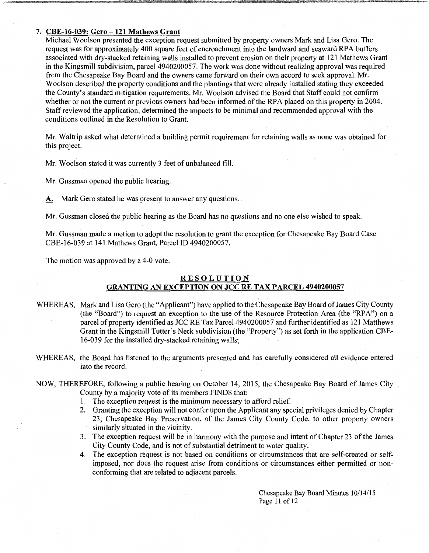### 7. CBE-16-039: Gero -121 Mathews Grant

Michael Woolson presented the exception request submitted by property owners Mark and Lisa Gero. The request was for approximately 400 square feet of encroachment into the landward and seaward RPA buffers associated with dry-stacked retaining walls installed to prevent erosion on their property at 121 Mathews Grant in the Kingsmill subdivision, parcel 4940200057. The work was done without realizing approval was required from the Chesapeake Bay Board and the owners came forward on their own accord to seek approval. Mr. Woolson described the property conditions and the plantings that were already installed stating they exceeded the County's standard mitigation requirements. Mr. Woolson advised the Board that Staff could not confirm whether or not the current or previous owners had been informed of the RPA placed on this property in 2004. Staff reviewed the application, determined the impacts to be minimal and recommended approval with the conditions outlined in the Resolution to Grant.

Mr. Waltrip asked what determined a building permit requirement for retaining walls as none was obtained for this project.

Mr. Woolson stated it was currently 3 feet of unbalanced fill.

Mr. Gussman opened the public hearing.

A. Mark Gero stated he was present to answer any questions.

Mr. Gussman closed the public hearing as the Board has no questions and no one else wished to speak.

Mr. Gussman made a motion to adopt the resolution to grant the exception for Chesapeake Bay Board Case CBE-16-039 at 141 Mathews Grant, Parcel ID 4940200057.

The motion was approved by a 4-0 vote.

# RESOLUTION

# GRANTING AN EXCEPTION ON JCC RE TAX PARCEL 4940200057

- WHEREAS, Mark and Lisa Gero (the "Applicant") have applied to the Chesapeake Bay Board of James City County (the "Board") to request an exception to the use of the Resource Protection Area (the "RPA") on a parcel of property identified as JCC RE Tax Parcel 4940200057 and further identified as 121 Matthews Grant in the Kingsmill Tutter's Neck subdivision (the "Property") as set forth in the application CBE-16-039 for the installed dry-stacked retaining walls;
- WHEREAS, the Board has listened to the arguments presented and has carefully considered all evidence entered into the record.
- NOW, THEREFORE, following a public hearing on October 14, 2015, the Chesapeake Bay Board of James City County by a majority vote of its members FINDS that:
	- 1. The exception request is the minimum necessary to afford relief.
	- 2. Granting the exception will not confer upon the Applicant any special privileges denied by Chapter 23, Chesapeake Bay Preservation, of the James City County Code, to other property owners similarly situated in the vicinity.
	- 3. The exception request will be in harmony with the purpose and intent of Chapter 23 of the James City County Code, and is not of substantial detriment to water quality.
	- 4. The exception request is not based on conditions or circumstances that are self-created or selfimposed, nor does the request arise from conditions or circumstances either permitted or nonconforming that are related to adjacent parcels.

Chesapeake Bay Board Minutes 10/14/15 Page 11 of 12